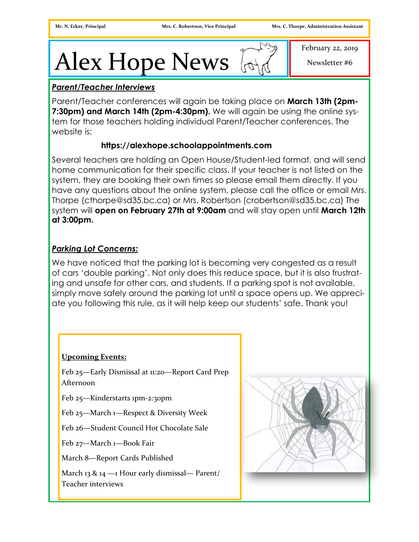# Alex Hope News  $\mathbb{R}$

February 22, 2019

Newsletter #6

# *Parent/Teacher Interviews*

Parent/Teacher conferences will again be taking place on **March 13th (2pm-7:30pm) and March 14th (2pm-4:30pm).** We will again be using the online system for those teachers holding individual Parent/Teacher conferences. The website is:

## **https://alexhope.schoolappointments.com**

Several teachers are holding an Open House/Student-led format, and will send home communication for their specific class. If your teacher is not listed on the system, they are booking their own times so please email them directly. If you have any questions about the online system, please call the office or email Mrs. Thorpe (cthorpe@sd35.bc.ca) or Mrs. Robertson (crobertson@sd35.bc.ca) The system will **open on February 27th at 9:00am** and will stay open until **March 12th at 3:00pm.** 

# *Parking Lot Concerns:*

We have noticed that the parking lot is becoming very congested as a result of cars 'double parking'. Not only does this reduce space, but it is also frustrating and unsafe for other cars, and students. If a parking spot is not available, simply move safely around the parking lot until a space opens up. We appreciate you following this rule, as it will help keep our students' safe. Thank you!

#### **Upcoming Events:**

Feb 25—Early Dismissal at 11:20—Report Card Prep Afternoon

Feb 25—Kinderstarts 1pm-2:30pm

Feb 25—March 1—Respect & Diversity Week

Feb 26—Student Council Hot Chocolate Sale

Feb 27—March 1—Book Fair

March 8—Report Cards Published

March 13 & 14 —1 Hour early dismissal— Parent/ Teacher interviews

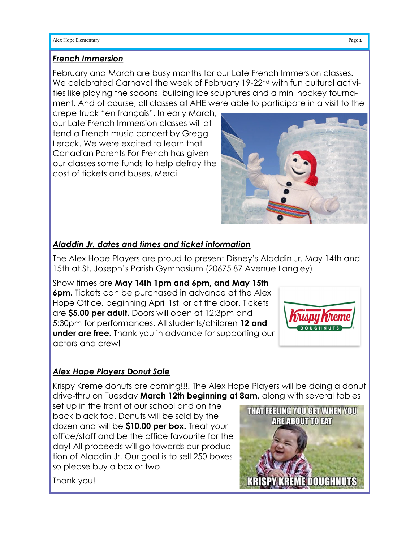#### *French Immersion*

February and March are busy months for our Late French Immersion classes. We celebrated Carnaval the week of February 19-22<sup>nd</sup> with fun cultural activities like playing the spoons, building ice sculptures and a mini hockey tournament. And of course, all classes at AHE were able to participate in a visit to the

crepe truck "en français". In early March, our Late French Immersion classes will attend a French music concert by Gregg Lerock. We were excited to learn that Canadian Parents For French has given our classes some funds to help defray the cost of tickets and buses. Merci!



## *Aladdin Jr. dates and times and ticket information*

The Alex Hope Players are proud to present Disney's Aladdin Jr. May 14th and 15th at St. Joseph's Parish Gymnasium (20675 87 Avenue Langley).

Show times are **May 14th 1pm and 6pm, and May 15th 6pm.** Tickets can be purchased in advance at the Alex Hope Office, beginning April 1st, or at the door. Tickets are **\$5.00 per adult.** Doors will open at 12:3pm and 5:30pm for performances. All students/children **12 and under are free.** Thank you in advance for supporting our actors and crew!



# *Alex Hope Players Donut Sale*

Krispy Kreme donuts are coming!!!! The Alex Hope Players will be doing a donut drive-thru on Tuesday **March 12th beginning at 8am,** along with several tables

set up in the front of our school and on the back black top. Donuts will be sold by the dozen and will be **\$10.00 per box.** Treat your office/staff and be the office favourite for the day! All proceeds will go towards our production of Aladdin Jr. Our goal is to sell 250 boxes so please buy a box or two!



Thank you!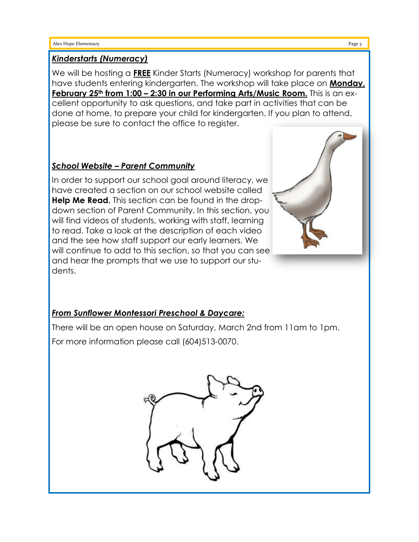#### *Kinderstarts (Numeracy)*

We will be hosting a **FREE** Kinder Starts (Numeracy) workshop for parents that have students entering kindergarten. The workshop will take place on **Monday, February 25th from 1:00 – 2:30 in our Performing Arts/Music Room.** This is an excellent opportunity to ask questions, and take part in activities that can be done at home, to prepare your child for kindergarten. If you plan to attend, please be sure to contact the office to register.

## *School Website – Parent Community*

In order to support our school goal around literacy, we have created a section on our school website called **Help Me Read.** This section can be found in the dropdown section of Parent Community. In this section, you will find videos of students, working with staff, learning to read. Take a look at the description of each video and the see how staff support our early learners. We will continue to add to this section, so that you can see and hear the prompts that we use to support our students.



There will be an open house on Saturday, March 2nd from 11am to 1pm. For more information please call (604)513-0070.

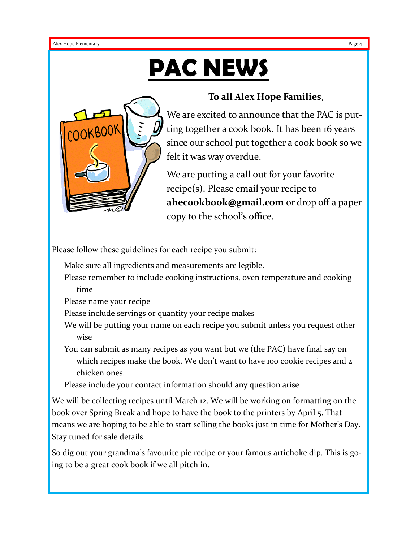# **PAC NEWS**



# **To all Alex Hope Families**,

We are excited to announce that the PAC is putting together a cook book. It has been 16 years since our school put together a cook book so we felt it was way overdue.

We are putting a call out for your favorite recipe(s). Please email your recipe to **ahecookbook@gmail.com** or drop off a paper copy to the school's office.

Please follow these guidelines for each recipe you submit:

Make sure all ingredients and measurements are legible.

Please remember to include cooking instructions, oven temperature and cooking time

Please name your recipe

Please include servings or quantity your recipe makes

We will be putting your name on each recipe you submit unless you request other wise

You can submit as many recipes as you want but we (the PAC) have final say on which recipes make the book. We don't want to have 100 cookie recipes and 2 chicken ones.

Please include your contact information should any question arise

We will be collecting recipes until March 12. We will be working on formatting on the book over Spring Break and hope to have the book to the printers by April 5. That means we are hoping to be able to start selling the books just in time for Mother's Day. Stay tuned for sale details.

So dig out your grandma's favourite pie recipe or your famous artichoke dip. This is going to be a great cook book if we all pitch in.